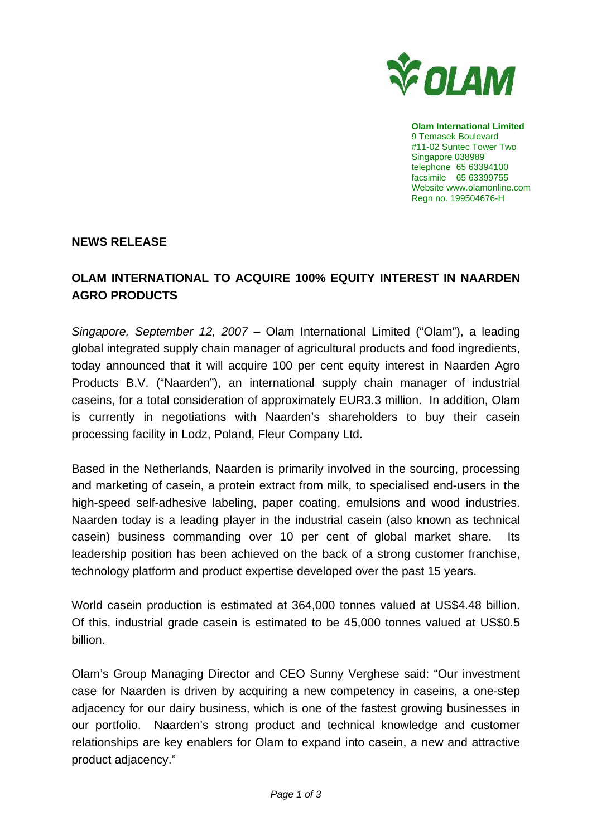

**Olam International Limited**  9 Temasek Boulevard #11-02 Suntec Tower Two Singapore 038989 telephone 65 63394100 facsimile 65 63399755 Website www.olamonline.com Regn no. 199504676-H

## **NEWS RELEASE**

## **OLAM INTERNATIONAL TO ACQUIRE 100% EQUITY INTEREST IN NAARDEN AGRO PRODUCTS**

*Singapore, September 12, 2007* – Olam International Limited ("Olam"), a leading global integrated supply chain manager of agricultural products and food ingredients, today announced that it will acquire 100 per cent equity interest in Naarden Agro Products B.V. ("Naarden"), an international supply chain manager of industrial caseins, for a total consideration of approximately EUR3.3 million. In addition, Olam is currently in negotiations with Naarden's shareholders to buy their casein processing facility in Lodz, Poland, Fleur Company Ltd.

Based in the Netherlands, Naarden is primarily involved in the sourcing, processing and marketing of casein, a protein extract from milk, to specialised end-users in the high-speed self-adhesive labeling, paper coating, emulsions and wood industries. Naarden today is a leading player in the industrial casein (also known as technical casein) business commanding over 10 per cent of global market share. Its leadership position has been achieved on the back of a strong customer franchise, technology platform and product expertise developed over the past 15 years.

World casein production is estimated at 364,000 tonnes valued at US\$4.48 billion. Of this, industrial grade casein is estimated to be 45,000 tonnes valued at US\$0.5 billion.

Olam's Group Managing Director and CEO Sunny Verghese said: "Our investment case for Naarden is driven by acquiring a new competency in caseins, a one-step adjacency for our dairy business, which is one of the fastest growing businesses in our portfolio. Naarden's strong product and technical knowledge and customer relationships are key enablers for Olam to expand into casein, a new and attractive product adjacency."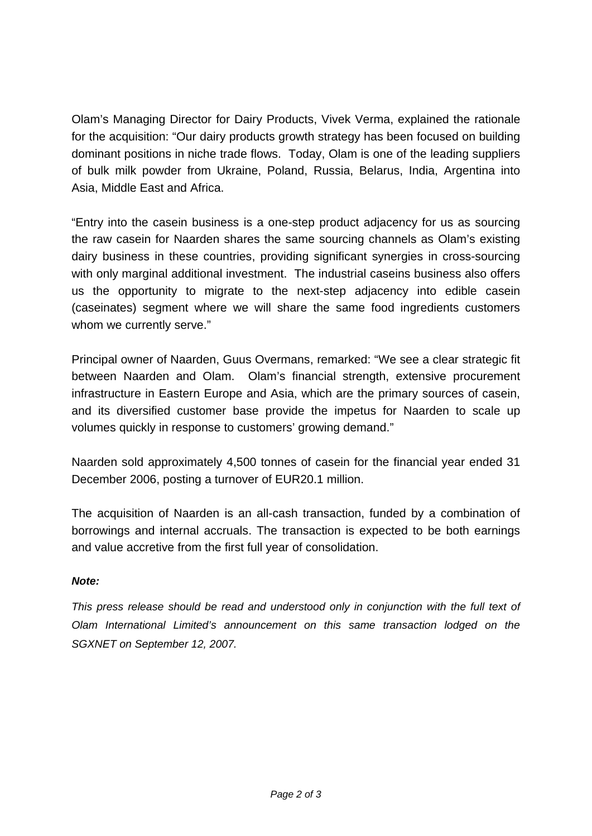Olam's Managing Director for Dairy Products, Vivek Verma, explained the rationale for the acquisition: "Our dairy products growth strategy has been focused on building dominant positions in niche trade flows. Today, Olam is one of the leading suppliers of bulk milk powder from Ukraine, Poland, Russia, Belarus, India, Argentina into Asia, Middle East and Africa.

"Entry into the casein business is a one-step product adjacency for us as sourcing the raw casein for Naarden shares the same sourcing channels as Olam's existing dairy business in these countries, providing significant synergies in cross-sourcing with only marginal additional investment. The industrial caseins business also offers us the opportunity to migrate to the next-step adjacency into edible casein (caseinates) segment where we will share the same food ingredients customers whom we currently serve."

Principal owner of Naarden, Guus Overmans, remarked: "We see a clear strategic fit between Naarden and Olam. Olam's financial strength, extensive procurement infrastructure in Eastern Europe and Asia, which are the primary sources of casein, and its diversified customer base provide the impetus for Naarden to scale up volumes quickly in response to customers' growing demand."

Naarden sold approximately 4,500 tonnes of casein for the financial year ended 31 December 2006, posting a turnover of EUR20.1 million.

The acquisition of Naarden is an all-cash transaction, funded by a combination of borrowings and internal accruals. The transaction is expected to be both earnings and value accretive from the first full year of consolidation.

## *Note:*

*This press release should be read and understood only in conjunction with the full text of Olam International Limited's announcement on this same transaction lodged on the SGXNET on September 12, 2007.*